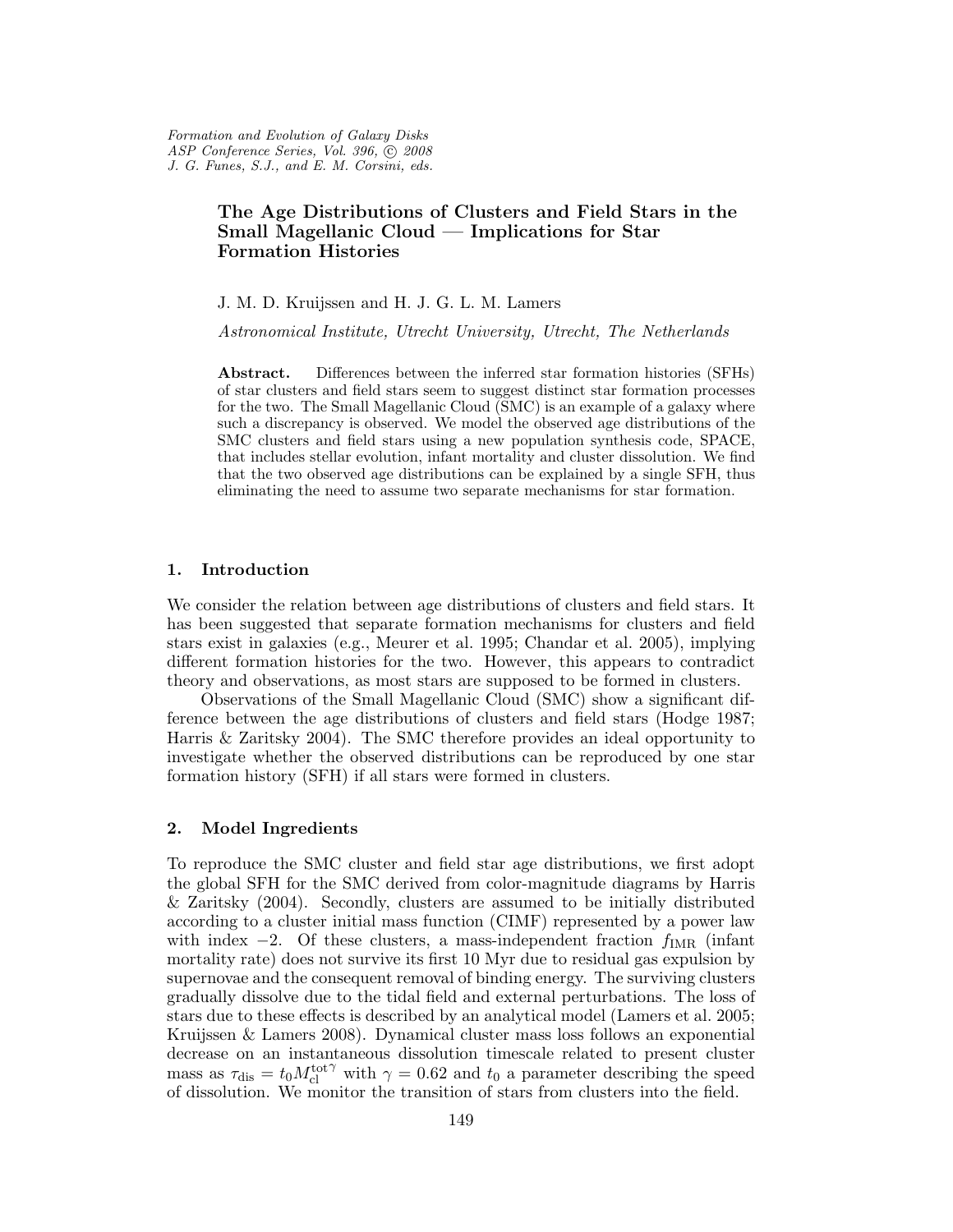# The Age Distributions of Clusters and Field Stars in the Small Magellanic Cloud — Implications for Star Formation Histories

J. M. D. Kruijssen and H. J. G. L. M. Lamers

Astronomical Institute, Utrecht University, Utrecht, The Netherlands

Abstract. Differences between the inferred star formation histories (SFHs) of star clusters and field stars seem to suggest distinct star formation processes for the two. The Small Magellanic Cloud (SMC) is an example of a galaxy where such a discrepancy is observed. We model the observed age distributions of the SMC clusters and field stars using a new population synthesis code, SPACE, that includes stellar evolution, infant mortality and cluster dissolution. We find that the two observed age distributions can be explained by a single SFH, thus eliminating the need to assume two separate mechanisms for star formation.

## 1. Introduction

We consider the relation between age distributions of clusters and field stars. It has been suggested that separate formation mechanisms for clusters and field stars exist in galaxies (e.g., Meurer et al. 1995; Chandar et al. 2005), implying different formation histories for the two. However, this appears to contradict theory and observations, as most stars are supposed to be formed in clusters.

Observations of the Small Magellanic Cloud (SMC) show a significant difference between the age distributions of clusters and field stars (Hodge 1987; Harris & Zaritsky 2004). The SMC therefore provides an ideal opportunity to investigate whether the observed distributions can be reproduced by one star formation history (SFH) if all stars were formed in clusters.

### 2. Model Ingredients

To reproduce the SMC cluster and field star age distributions, we first adopt the global SFH for the SMC derived from color-magnitude diagrams by Harris & Zaritsky (2004). Secondly, clusters are assumed to be initially distributed according to a cluster initial mass function (CIMF) represented by a power law with index  $-2$ . Of these clusters, a mass-independent fraction  $f_{\text{IMR}}$  (infant mortality rate) does not survive its first 10 Myr due to residual gas expulsion by supernovae and the consequent removal of binding energy. The surviving clusters gradually dissolve due to the tidal field and external perturbations. The loss of stars due to these effects is described by an analytical model (Lamers et al. 2005; Kruijssen & Lamers 2008). Dynamical cluster mass loss follows an exponential decrease on an instantaneous dissolution timescale related to present cluster mass as  $\tau_{\text{dis}} = t_0 M_{\text{cl}}^{\text{tot}\gamma}$  with  $\gamma = 0.62$  and  $t_0$  a parameter describing the speed of dissolution. We monitor the transition of stars from clusters into the field.